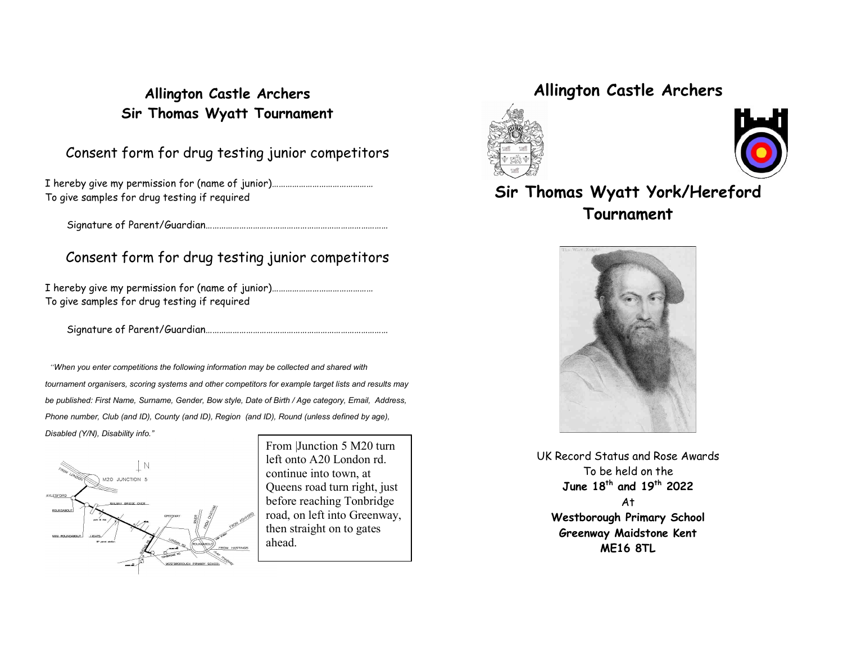## Allington Castle Archers Sir Thomas Wyatt Tournament

### Consent form for drug testing junior competitors

I hereby give my permission for (name of junior)……………………………………… To give samples for drug testing if required

Signature of Parent/Guardian………………………………………………………………………

### Consent form for drug testing junior competitors

I hereby give my permission for (name of junior)……………………………………… To give samples for drug testing if required

Signature of Parent/Guardian………………………………………………………………………

 "When you enter competitions the following information may be collected and shared with tournament organisers, scoring systems and other competitors for example target lists and results may be published: First Name, Surname, Gender, Bow style, Date of Birth / Age category, Email, Address, Phone number, Club (and ID), County (and ID), Region (and ID), Round (unless defined by age), Disabled (Y/N), Disability info."



From |Junction 5 M20 turn left onto A20 London rd. continue into town, at Queens road turn right, just before reaching Tonbridge road, on left into Greenway, then straight on to gates ahead.

# Allington Castle Archers





# Sir Thomas Wyatt York/Hereford **Tournament**



UK Record Status and Rose Awards To be held on the June 18th and 19th 2022 At Westborough Primary School Greenway Maidstone Kent ME16 8TL